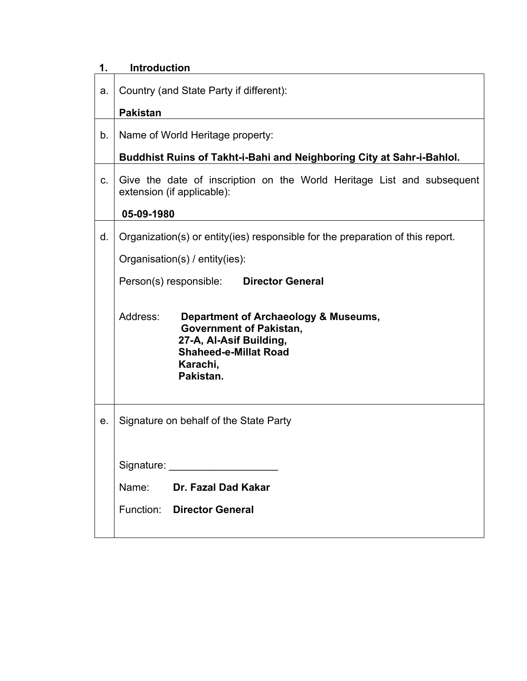| 1. | <b>Introduction</b>                                                                                                                                                    |  |  |  |  |  |
|----|------------------------------------------------------------------------------------------------------------------------------------------------------------------------|--|--|--|--|--|
| a. | Country (and State Party if different):                                                                                                                                |  |  |  |  |  |
|    | <b>Pakistan</b>                                                                                                                                                        |  |  |  |  |  |
| b. | Name of World Heritage property:                                                                                                                                       |  |  |  |  |  |
|    | Buddhist Ruins of Takht-i-Bahi and Neighboring City at Sahr-i-Bahlol.                                                                                                  |  |  |  |  |  |
| C. | Give the date of inscription on the World Heritage List and subsequent<br>extension (if applicable):                                                                   |  |  |  |  |  |
|    | 05-09-1980                                                                                                                                                             |  |  |  |  |  |
| d. | Organization(s) or entity(ies) responsible for the preparation of this report.                                                                                         |  |  |  |  |  |
|    | Organisation(s) / entity(ies):                                                                                                                                         |  |  |  |  |  |
|    | Person(s) responsible: Director General                                                                                                                                |  |  |  |  |  |
|    | Address:<br>Department of Archaeology & Museums,<br><b>Government of Pakistan,</b><br>27-A, Al-Asif Building,<br><b>Shaheed-e-Millat Road</b><br>Karachi,<br>Pakistan. |  |  |  |  |  |
| е. | Signature on behalf of the State Party                                                                                                                                 |  |  |  |  |  |
|    |                                                                                                                                                                        |  |  |  |  |  |
|    | Signature: experience and all the set of the set of the set of the set of the set of the set of the set of the                                                         |  |  |  |  |  |
|    | Name: Dr. Fazal Dad Kakar                                                                                                                                              |  |  |  |  |  |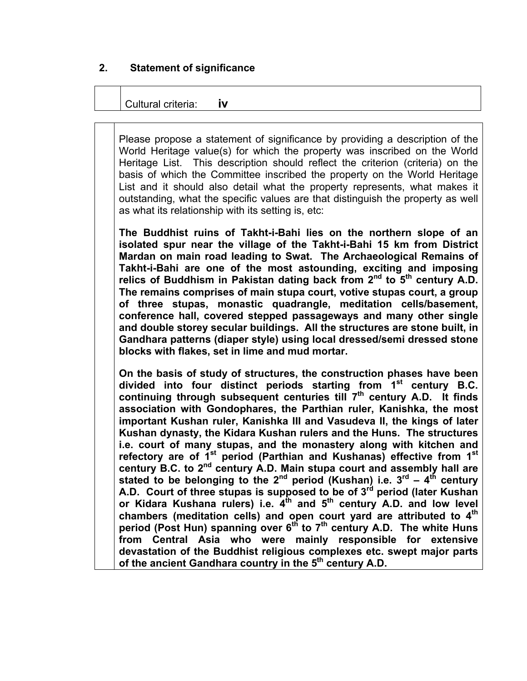#### **2. Statement of significance**

#### Cultural criteria: **iv**

Please propose a statement of significance by providing a description of the World Heritage value(s) for which the property was inscribed on the World Heritage List. This description should reflect the criterion (criteria) on the basis of which the Committee inscribed the property on the World Heritage List and it should also detail what the property represents, what makes it outstanding, what the specific values are that distinguish the property as well as what its relationship with its setting is, etc:

**The Buddhist ruins of Takht-i-Bahi lies on the northern slope of an isolated spur near the village of the Takht-i-Bahi 15 km from District Mardan on main road leading to Swat. The Archaeological Remains of Takht-i-Bahi are one of the most astounding, exciting and imposing**  relics of Buddhism in Pakistan dating back from 2<sup>nd</sup> to 5<sup>th</sup> century A.D. **The remains comprises of main stupa court, votive stupas court, a group of three stupas, monastic quadrangle, meditation cells/basement, conference hall, covered stepped passageways and many other single and double storey secular buildings. All the structures are stone built, in Gandhara patterns (diaper style) using local dressed/semi dressed stone blocks with flakes, set in lime and mud mortar.** 

**On the basis of study of structures, the construction phases have been divided into four distinct periods starting from 1st century B.C.**  continuing through subsequent centuries till 7<sup>th</sup> century A.D. It finds **association with Gondophares, the Parthian ruler, Kanishka, the most important Kushan ruler, Kanishka III and Vasudeva II, the kings of later Kushan dynasty, the Kidara Kushan rulers and the Huns. The structures i.e. court of many stupas, and the monastery along with kitchen and refectory are of 1st period (Parthian and Kushanas) effective from 1st century B.C. to 2nd century A.D. Main stupa court and assembly hall are**  stated to be belonging to the  $2^{nd}$  period (Kushan) i.e.  $3^{rd}$  –  $4^{th}$  century A.D. Court of three stupas is supposed to be of 3<sup>rd</sup> period (later Kushan or Kidara Kushana rulers) i.e. 4<sup>th</sup> and 5<sup>th</sup> century A.D. and low level **chambers (meditation cells) and open court yard are attributed to 4th** period (Post Hun) spanning over 6<sup>th</sup> to 7<sup>th</sup> century A.D. The white Huns **from Central Asia who were mainly responsible for extensive devastation of the Buddhist religious complexes etc. swept major parts**  of the ancient Gandhara country in the 5<sup>th</sup> century A.D.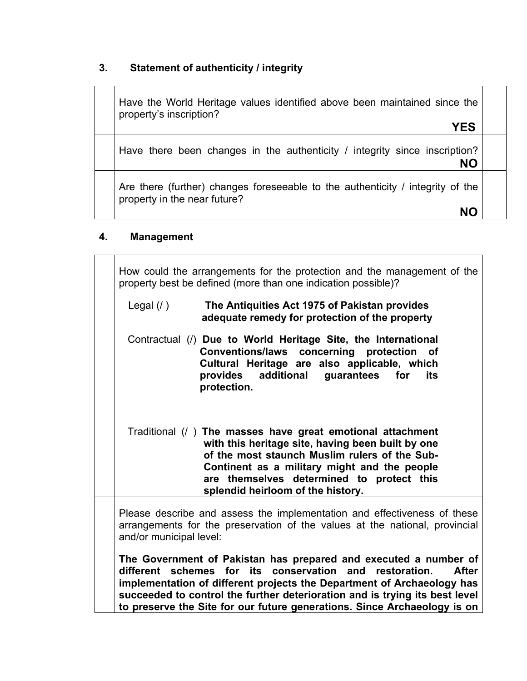# **3. Statement of authenticity / integrity**

| Have the World Heritage values identified above been maintained since the<br>property's inscription?<br><b>YES</b> |  |
|--------------------------------------------------------------------------------------------------------------------|--|
| Have there been changes in the authenticity / integrity since inscription?<br>NΟ                                   |  |
| Are there (further) changes foreseeable to the authenticity / integrity of the<br>property in the near future?     |  |

# **4. Management**

| How could the arrangements for the protection and the management of the<br>property best be defined (more than one indication possible)?                                                                                                                                                                                                                                               |  |  |  |  |
|----------------------------------------------------------------------------------------------------------------------------------------------------------------------------------------------------------------------------------------------------------------------------------------------------------------------------------------------------------------------------------------|--|--|--|--|
| The Antiquities Act 1975 of Pakistan provides<br>Legal $($ $)$<br>adequate remedy for protection of the property                                                                                                                                                                                                                                                                       |  |  |  |  |
| Contractual (/) Due to World Heritage Site, the International<br><b>Conventions/laws</b><br>concerning protection<br>of<br>Cultural Heritage are also applicable, which<br>additional<br>provides<br>guarantees<br>for<br>its<br>protection.                                                                                                                                           |  |  |  |  |
| Traditional (/ ) The masses have great emotional attachment<br>with this heritage site, having been built by one<br>of the most staunch Muslim rulers of the Sub-<br>Continent as a military might and the people<br>are themselves determined to protect this<br>splendid heirloom of the history.                                                                                    |  |  |  |  |
| Please describe and assess the implementation and effectiveness of these<br>arrangements for the preservation of the values at the national, provincial<br>and/or municipal level:                                                                                                                                                                                                     |  |  |  |  |
| The Government of Pakistan has prepared and executed a number of<br>different schemes for its<br>conservation and<br><b>After</b><br>restoration.<br>implementation of different projects the Department of Archaeology has<br>succeeded to control the further deterioration and is trying its best level<br>to preserve the Site for our future generations. Since Archaeology is on |  |  |  |  |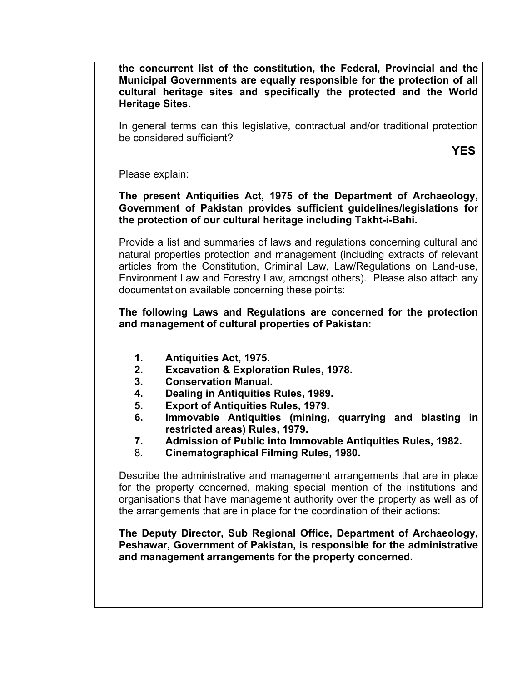| the concurrent list of the constitution, the Federal, Provincial and the<br>Municipal Governments are equally responsible for the protection of all<br>cultural heritage sites and specifically the protected and the World<br><b>Heritage Sites.</b>                                                                                                                       |
|-----------------------------------------------------------------------------------------------------------------------------------------------------------------------------------------------------------------------------------------------------------------------------------------------------------------------------------------------------------------------------|
| In general terms can this legislative, contractual and/or traditional protection<br>be considered sufficient?                                                                                                                                                                                                                                                               |
| <b>YES</b>                                                                                                                                                                                                                                                                                                                                                                  |
| Please explain:                                                                                                                                                                                                                                                                                                                                                             |
| The present Antiquities Act, 1975 of the Department of Archaeology,<br>Government of Pakistan provides sufficient guidelines/legislations for<br>the protection of our cultural heritage including Takht-i-Bahi.                                                                                                                                                            |
| Provide a list and summaries of laws and regulations concerning cultural and<br>natural properties protection and management (including extracts of relevant<br>articles from the Constitution, Criminal Law, Law/Regulations on Land-use,<br>Environment Law and Forestry Law, amongst others). Please also attach any<br>documentation available concerning these points: |
| The following Laws and Regulations are concerned for the protection<br>and management of cultural properties of Pakistan:                                                                                                                                                                                                                                                   |
| 1.<br><b>Antiquities Act, 1975.</b><br>2.<br><b>Excavation &amp; Exploration Rules, 1978.</b><br>3.<br><b>Conservation Manual.</b><br>4.<br>Dealing in Antiquities Rules, 1989.<br><b>Export of Antiquities Rules, 1979.</b><br>5.<br>Immovable Antiquities (mining, quarrying and blasting in<br>6.                                                                        |
| restricted areas) Rules, 1979.<br>Admission of Public into Immovable Antiquities Rules, 1982.<br>7.<br><b>Cinematographical Filming Rules, 1980.</b><br>8.                                                                                                                                                                                                                  |
| Describe the administrative and management arrangements that are in place<br>for the property concerned, making special mention of the institutions and<br>organisations that have management authority over the property as well as of<br>the arrangements that are in place for the coordination of their actions:                                                        |
| The Deputy Director, Sub Regional Office, Department of Archaeology,<br>Peshawar, Government of Pakistan, is responsible for the administrative<br>and management arrangements for the property concerned.                                                                                                                                                                  |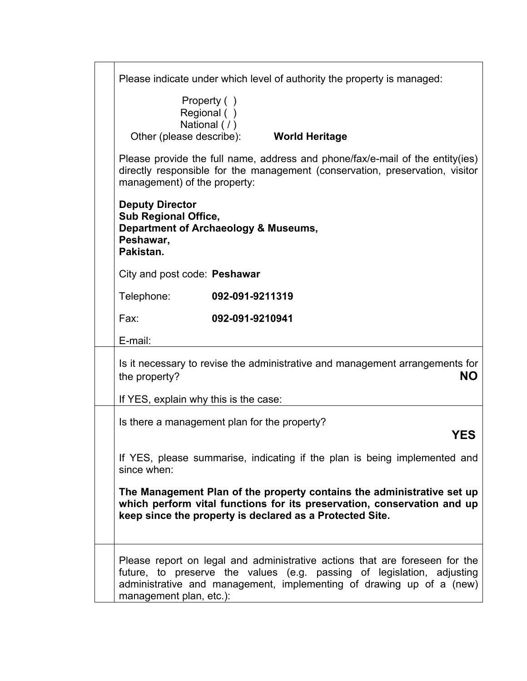| Please indicate under which level of authority the property is managed:                                                                                                                                                                                  |
|----------------------------------------------------------------------------------------------------------------------------------------------------------------------------------------------------------------------------------------------------------|
| Property ()<br>Regional ()<br>National (/)<br>Other (please describe):<br><b>World Heritage</b>                                                                                                                                                          |
| Please provide the full name, address and phone/fax/e-mail of the entity(ies)<br>directly responsible for the management (conservation, preservation, visitor<br>management) of the property:                                                            |
| <b>Deputy Director</b><br><b>Sub Regional Office,</b><br>Department of Archaeology & Museums,<br>Peshawar,<br>Pakistan.                                                                                                                                  |
| City and post code: Peshawar                                                                                                                                                                                                                             |
| Telephone:<br>092-091-9211319                                                                                                                                                                                                                            |
| 092-091-9210941<br>Fax:                                                                                                                                                                                                                                  |
| E-mail:                                                                                                                                                                                                                                                  |
| Is it necessary to revise the administrative and management arrangements for<br>NΟ<br>the property?                                                                                                                                                      |
| If YES, explain why this is the case:                                                                                                                                                                                                                    |
| Is there a management plan for the property?<br>YES                                                                                                                                                                                                      |
| If YES, please summarise, indicating if the plan is being implemented and<br>since when:                                                                                                                                                                 |
| The Management Plan of the property contains the administrative set up<br>which perform vital functions for its preservation, conservation and up<br>keep since the property is declared as a Protected Site.                                            |
| Please report on legal and administrative actions that are foreseen for the<br>future, to preserve the values (e.g. passing of legislation, adjusting<br>administrative and management, implementing of drawing up of a (new)<br>management plan, etc.): |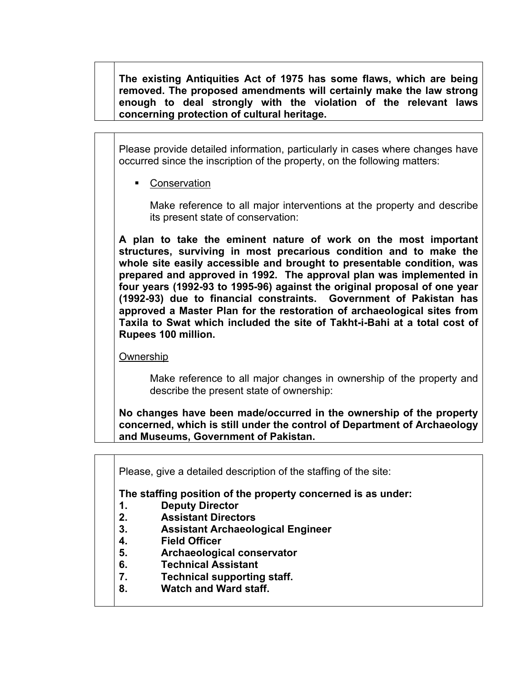**The existing Antiquities Act of 1975 has some flaws, which are being removed. The proposed amendments will certainly make the law strong enough to deal strongly with the violation of the relevant laws concerning protection of cultural heritage.** 

Please provide detailed information, particularly in cases where changes have occurred since the inscription of the property, on the following matters:

Conservation

Make reference to all major interventions at the property and describe its present state of conservation:

**A plan to take the eminent nature of work on the most important structures, surviving in most precarious condition and to make the whole site easily accessible and brought to presentable condition, was prepared and approved in 1992. The approval plan was implemented in four years (1992-93 to 1995-96) against the original proposal of one year (1992-93) due to financial constraints. Government of Pakistan has approved a Master Plan for the restoration of archaeological sites from Taxila to Swat which included the site of Takht-i-Bahi at a total cost of Rupees 100 million.** 

Ownership

Make reference to all major changes in ownership of the property and describe the present state of ownership:

**No changes have been made/occurred in the ownership of the property concerned, which is still under the control of Department of Archaeology and Museums, Government of Pakistan.** 

Please, give a detailed description of the staffing of the site:

**The staffing position of the property concerned is as under:** 

- **1. Deputy Director**
- **2. Assistant Directors**
- **3. Assistant Archaeological Engineer**
- **4. Field Officer**
- **5. Archaeological conservator**
- **6. Technical Assistant**
- **7. Technical supporting staff.**
- **8. Watch and Ward staff.**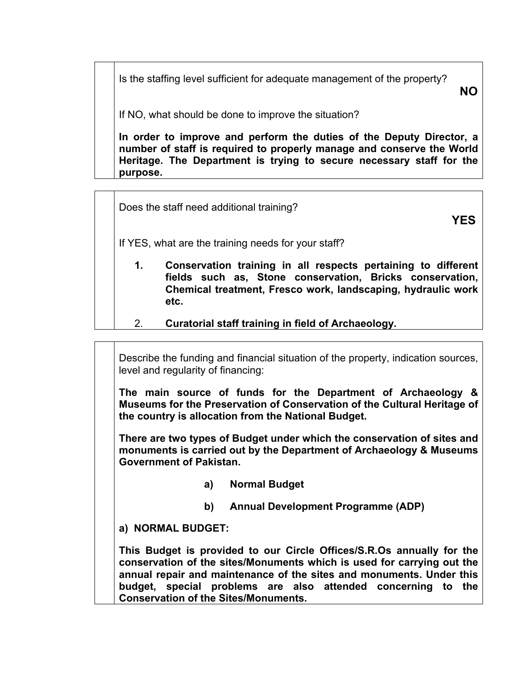Is the staffing level sufficient for adequate management of the property?

**NO**

If NO, what should be done to improve the situation?

**In order to improve and perform the duties of the Deputy Director, a number of staff is required to properly manage and conserve the World Heritage. The Department is trying to secure necessary staff for the purpose.** 

Does the staff need additional training?

**YES**

If YES, what are the training needs for your staff?

- **1. Conservation training in all respects pertaining to different fields such as, Stone conservation, Bricks conservation, Chemical treatment, Fresco work, landscaping, hydraulic work etc.**
- 2. **Curatorial staff training in field of Archaeology.**

Describe the funding and financial situation of the property, indication sources, level and regularity of financing:

**The main source of funds for the Department of Archaeology & Museums for the Preservation of Conservation of the Cultural Heritage of the country is allocation from the National Budget.** 

**There are two types of Budget under which the conservation of sites and monuments is carried out by the Department of Archaeology & Museums Government of Pakistan.** 

- **a) Normal Budget**
- **b) Annual Development Programme (ADP)**

**a) NORMAL BUDGET:** 

**This Budget is provided to our Circle Offices/S.R.Os annually for the conservation of the sites/Monuments which is used for carrying out the annual repair and maintenance of the sites and monuments. Under this budget, special problems are also attended concerning to the Conservation of the Sites/Monuments.**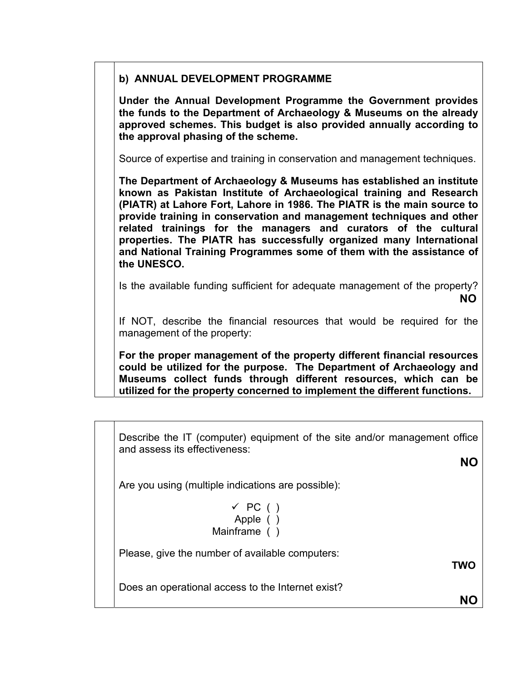#### **b) ANNUAL DEVELOPMENT PROGRAMME**

**Under the Annual Development Programme the Government provides the funds to the Department of Archaeology & Museums on the already approved schemes. This budget is also provided annually according to the approval phasing of the scheme.** 

Source of expertise and training in conservation and management techniques.

**The Department of Archaeology & Museums has established an institute known as Pakistan Institute of Archaeological training and Research (PIATR) at Lahore Fort, Lahore in 1986. The PIATR is the main source to provide training in conservation and management techniques and other related trainings for the managers and curators of the cultural properties. The PIATR has successfully organized many International and National Training Programmes some of them with the assistance of the UNESCO.** 

Is the available funding sufficient for adequate management of the property? **NO** 

If NOT, describe the financial resources that would be required for the management of the property:

**For the proper management of the property different financial resources could be utilized for the purpose. The Department of Archaeology and Museums collect funds through different resources, which can be utilized for the property concerned to implement the different functions.** 

Describe the IT (computer) equipment of the site and/or management office and assess its effectiveness:

**NO**

Are you using (multiple indications are possible):

$$
\begin{array}{c}\n\checkmark \text{ PC} \text{ ()} \\
\text{Apple} \text{ ()} \\
\text{Mainframe} \text{ ()}\n\end{array}
$$

Please, give the number of available computers:

**TWO** 

Does an operational access to the Internet exist?

**NO**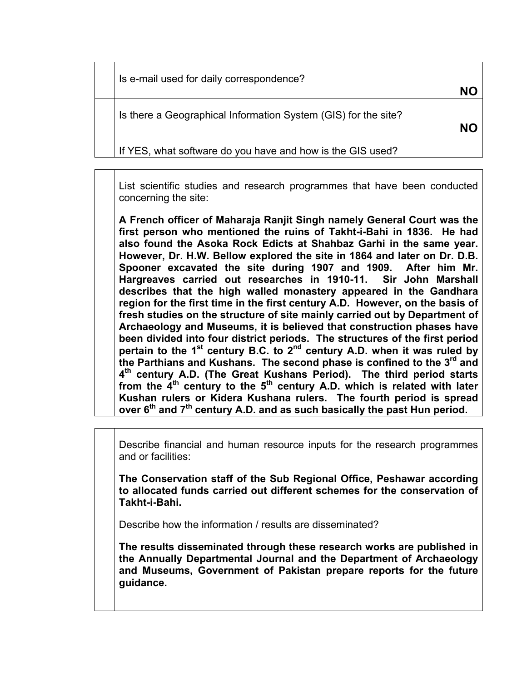Is e-mail used for daily correspondence?

Is there a Geographical Information System (GIS) for the site?

**NO**

If YES, what software do you have and how is the GIS used?

List scientific studies and research programmes that have been conducted concerning the site:

**NO**

**A French officer of Maharaja Ranjit Singh namely General Court was the first person who mentioned the ruins of Takht-i-Bahi in 1836. He had also found the Asoka Rock Edicts at Shahbaz Garhi in the same year. However, Dr. H.W. Bellow explored the site in 1864 and later on Dr. D.B. Spooner excavated the site during 1907 and 1909. After him Mr. Hargreaves carried out researches in 1910-11. Sir John Marshall describes that the high walled monastery appeared in the Gandhara region for the first time in the first century A.D. However, on the basis of fresh studies on the structure of site mainly carried out by Department of Archaeology and Museums, it is believed that construction phases have been divided into four district periods. The structures of the first period pertain to the 1st century B.C. to 2nd century A.D. when it was ruled by the Parthians and Kushans. The second phase is confined to the 3rd and 4th century A.D. (The Great Kushans Period). The third period starts**  from the 4<sup>th</sup> century to the 5<sup>th</sup> century A.D. which is related with later **Kushan rulers or Kidera Kushana rulers. The fourth period is spread over 6th and 7th century A.D. and as such basically the past Hun period.** 

Describe financial and human resource inputs for the research programmes and or facilities:

**The Conservation staff of the Sub Regional Office, Peshawar according to allocated funds carried out different schemes for the conservation of Takht-i-Bahi.**

Describe how the information / results are disseminated?

**The results disseminated through these research works are published in the Annually Departmental Journal and the Department of Archaeology and Museums, Government of Pakistan prepare reports for the future guidance.**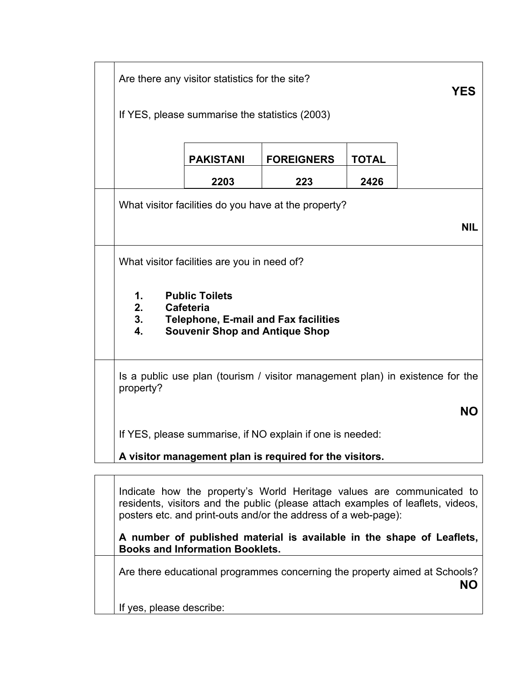| Are there any visitor statistics for the site?<br>YES                                                                                              |                  |                                                           |              |  |
|----------------------------------------------------------------------------------------------------------------------------------------------------|------------------|-----------------------------------------------------------|--------------|--|
| If YES, please summarise the statistics (2003)                                                                                                     |                  |                                                           |              |  |
|                                                                                                                                                    | <b>PAKISTANI</b> | <b>FOREIGNERS</b>                                         | <b>TOTAL</b> |  |
|                                                                                                                                                    | 2203             | 223                                                       | 2426         |  |
|                                                                                                                                                    |                  | What visitor facilities do you have at the property?      |              |  |
|                                                                                                                                                    |                  |                                                           | <b>NIL</b>   |  |
| What visitor facilities are you in need of?                                                                                                        |                  |                                                           |              |  |
| <b>Public Toilets</b><br>1.<br>2.<br>Cafeteria<br>3.<br><b>Telephone, E-mail and Fax facilities</b><br><b>Souvenir Shop and Antique Shop</b><br>4. |                  |                                                           |              |  |
| Is a public use plan (tourism / visitor management plan) in existence for the<br>property?                                                         |                  |                                                           |              |  |
| <b>NO</b>                                                                                                                                          |                  |                                                           |              |  |
|                                                                                                                                                    |                  | If YES, please summarise, if NO explain if one is needed: |              |  |
| A visitor management plan is required for the visitors.                                                                                            |                  |                                                           |              |  |
|                                                                                                                                                    |                  |                                                           |              |  |

Indicate how the property's World Heritage values are communicated to residents, visitors and the public (please attach examples of leaflets, videos, posters etc. and print-outs and/or the address of a web-page):

**A number of published material is available in the shape of Leaflets, Books and Information Booklets.** 

Are there educational programmes concerning the property aimed at Schools? **NO**

If yes, please describe: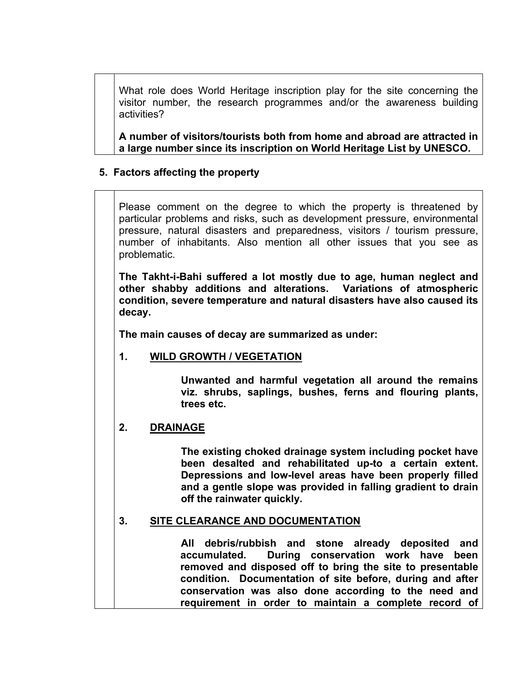What role does World Heritage inscription play for the site concerning the visitor number, the research programmes and/or the awareness building activities?

**A number of visitors/tourists both from home and abroad are attracted in a large number since its inscription on World Heritage List by UNESCO.** 

# **5. Factors affecting the property**

Please comment on the degree to which the property is threatened by particular problems and risks, such as development pressure, environmental pressure, natural disasters and preparedness, visitors / tourism pressure, number of inhabitants. Also mention all other issues that you see as problematic.

**The Takht-i-Bahi suffered a lot mostly due to age, human neglect and other shabby additions and alterations. Variations of atmospheric condition, severe temperature and natural disasters have also caused its decay.** 

**The main causes of decay are summarized as under:** 

# **1. WILD GROWTH / VEGETATION**

**Unwanted and harmful vegetation all around the remains viz. shrubs, saplings, bushes, ferns and flouring plants, trees etc.** 

#### **2. DRAINAGE**

**The existing choked drainage system including pocket have been desalted and rehabilitated up-to a certain extent. Depressions and low-level areas have been properly filled and a gentle slope was provided in falling gradient to drain off the rainwater quickly.**

#### **3. SITE CLEARANCE AND DOCUMENTATION**

 **All debris/rubbish and stone already deposited and accumulated. During conservation work have been removed and disposed off to bring the site to presentable condition. Documentation of site before, during and after conservation was also done according to the need and requirement in order to maintain a complete record of**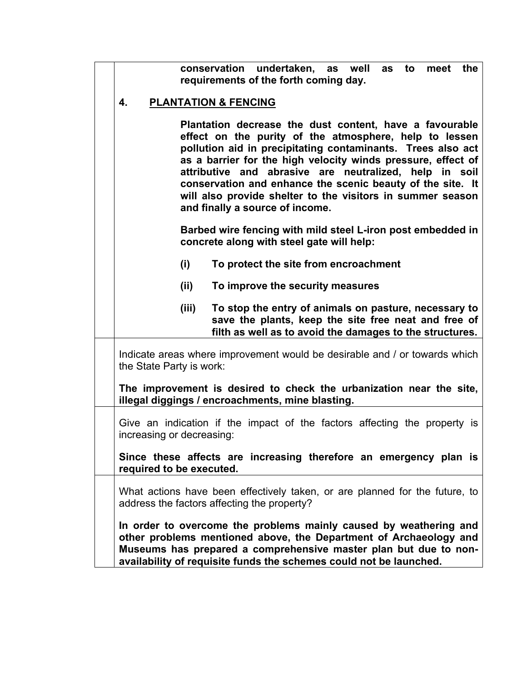|                                                                                                                                                                                                                                                                                                                                                                                                                                                                           |       | conservation undertaken,<br>well<br>the<br>as<br>to<br>meet<br>as<br>requirements of the forth coming day.                                                                |  |  |  |
|---------------------------------------------------------------------------------------------------------------------------------------------------------------------------------------------------------------------------------------------------------------------------------------------------------------------------------------------------------------------------------------------------------------------------------------------------------------------------|-------|---------------------------------------------------------------------------------------------------------------------------------------------------------------------------|--|--|--|
| 4.                                                                                                                                                                                                                                                                                                                                                                                                                                                                        |       | <b>PLANTATION &amp; FENCING</b>                                                                                                                                           |  |  |  |
| Plantation decrease the dust content, have a favourable<br>effect on the purity of the atmosphere, help to lessen<br>pollution aid in precipitating contaminants. Trees also act<br>as a barrier for the high velocity winds pressure, effect of<br>attributive and abrasive are neutralized, help in soil<br>conservation and enhance the scenic beauty of the site. It<br>will also provide shelter to the visitors in summer season<br>and finally a source of income. |       |                                                                                                                                                                           |  |  |  |
|                                                                                                                                                                                                                                                                                                                                                                                                                                                                           |       | Barbed wire fencing with mild steel L-iron post embedded in<br>concrete along with steel gate will help:                                                                  |  |  |  |
|                                                                                                                                                                                                                                                                                                                                                                                                                                                                           | (i)   | To protect the site from encroachment                                                                                                                                     |  |  |  |
|                                                                                                                                                                                                                                                                                                                                                                                                                                                                           | (ii)  | To improve the security measures                                                                                                                                          |  |  |  |
|                                                                                                                                                                                                                                                                                                                                                                                                                                                                           | (iii) | To stop the entry of animals on pasture, necessary to<br>save the plants, keep the site free neat and free of<br>filth as well as to avoid the damages to the structures. |  |  |  |
| Indicate areas where improvement would be desirable and / or towards which<br>the State Party is work:                                                                                                                                                                                                                                                                                                                                                                    |       |                                                                                                                                                                           |  |  |  |
|                                                                                                                                                                                                                                                                                                                                                                                                                                                                           |       | The improvement is desired to check the urbanization near the site,<br>illegal diggings / encroachments, mine blasting.                                                   |  |  |  |
| Give an indication if the impact of the factors affecting the property is<br>increasing or decreasing:                                                                                                                                                                                                                                                                                                                                                                    |       |                                                                                                                                                                           |  |  |  |
| Since these affects are increasing therefore an emergency plan is<br>required to be executed.                                                                                                                                                                                                                                                                                                                                                                             |       |                                                                                                                                                                           |  |  |  |
| What actions have been effectively taken, or are planned for the future, to<br>address the factors affecting the property?                                                                                                                                                                                                                                                                                                                                                |       |                                                                                                                                                                           |  |  |  |
| In order to overcome the problems mainly caused by weathering and<br>other problems mentioned above, the Department of Archaeology and<br>Museums has prepared a comprehensive master plan but due to non-<br>availability of requisite funds the schemes could not be launched.                                                                                                                                                                                          |       |                                                                                                                                                                           |  |  |  |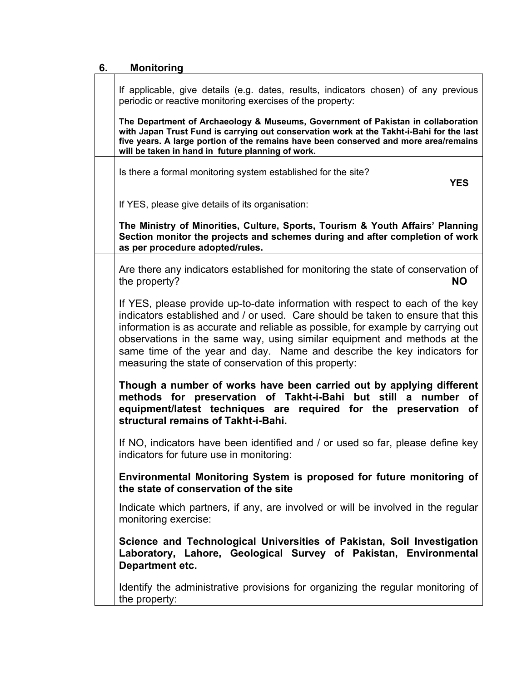# **6. Monitoring**

| If applicable, give details (e.g. dates, results, indicators chosen) of any previous<br>periodic or reactive monitoring exercises of the property:                                                                                                                                                                                                                                                                                                                  |
|---------------------------------------------------------------------------------------------------------------------------------------------------------------------------------------------------------------------------------------------------------------------------------------------------------------------------------------------------------------------------------------------------------------------------------------------------------------------|
| The Department of Archaeology & Museums, Government of Pakistan in collaboration<br>with Japan Trust Fund is carrying out conservation work at the Takht-i-Bahi for the last<br>five years. A large portion of the remains have been conserved and more area/remains<br>will be taken in hand in future planning of work.                                                                                                                                           |
| Is there a formal monitoring system established for the site?<br><b>YES</b>                                                                                                                                                                                                                                                                                                                                                                                         |
| If YES, please give details of its organisation:                                                                                                                                                                                                                                                                                                                                                                                                                    |
| The Ministry of Minorities, Culture, Sports, Tourism & Youth Affairs' Planning<br>Section monitor the projects and schemes during and after completion of work<br>as per procedure adopted/rules.                                                                                                                                                                                                                                                                   |
| Are there any indicators established for monitoring the state of conservation of<br>the property?<br><b>NO</b>                                                                                                                                                                                                                                                                                                                                                      |
| If YES, please provide up-to-date information with respect to each of the key<br>indicators established and / or used. Care should be taken to ensure that this<br>information is as accurate and reliable as possible, for example by carrying out<br>observations in the same way, using similar equipment and methods at the<br>same time of the year and day. Name and describe the key indicators for<br>measuring the state of conservation of this property: |
| Though a number of works have been carried out by applying different<br>methods for preservation of Takht-i-Bahi but still a number of<br>equipment/latest techniques are required for the preservation<br>οf<br>structural remains of Takht-i-Bahi.                                                                                                                                                                                                                |
| If NO, indicators have been identified and / or used so far, please define key<br>indicators for future use in monitoring:                                                                                                                                                                                                                                                                                                                                          |
| Environmental Monitoring System is proposed for future monitoring of<br>the state of conservation of the site                                                                                                                                                                                                                                                                                                                                                       |
| Indicate which partners, if any, are involved or will be involved in the regular<br>monitoring exercise:                                                                                                                                                                                                                                                                                                                                                            |
| Science and Technological Universities of Pakistan, Soil Investigation<br>Laboratory, Lahore, Geological Survey of Pakistan, Environmental<br>Department etc.                                                                                                                                                                                                                                                                                                       |
| Identify the administrative provisions for organizing the regular monitoring of<br>the property:                                                                                                                                                                                                                                                                                                                                                                    |

٦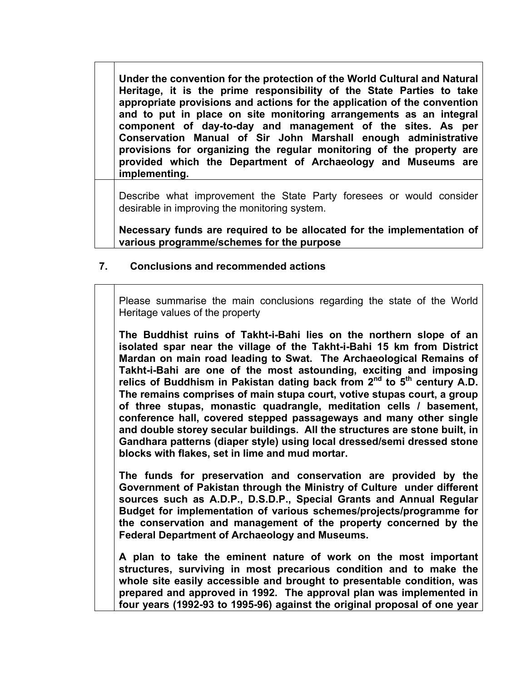**Under the convention for the protection of the World Cultural and Natural Heritage, it is the prime responsibility of the State Parties to take appropriate provisions and actions for the application of the convention and to put in place on site monitoring arrangements as an integral component of day-to-day and management of the sites. As per Conservation Manual of Sir John Marshall enough administrative provisions for organizing the regular monitoring of the property are provided which the Department of Archaeology and Museums are implementing.** 

Describe what improvement the State Party foresees or would consider desirable in improving the monitoring system.

**Necessary funds are required to be allocated for the implementation of various programme/schemes for the purpose** 

#### **7. Conclusions and recommended actions**

Please summarise the main conclusions regarding the state of the World Heritage values of the property

**The Buddhist ruins of Takht-i-Bahi lies on the northern slope of an isolated spar near the village of the Takht-i-Bahi 15 km from District Mardan on main road leading to Swat. The Archaeological Remains of Takht-i-Bahi are one of the most astounding, exciting and imposing**  relics of Buddhism in Pakistan dating back from 2<sup>nd</sup> to 5<sup>th</sup> century A.D. **The remains comprises of main stupa court, votive stupas court, a group of three stupas, monastic quadrangle, meditation cells / basement, conference hall, covered stepped passageways and many other single and double storey secular buildings. All the structures are stone built, in Gandhara patterns (diaper style) using local dressed/semi dressed stone blocks with flakes, set in lime and mud mortar.** 

**The funds for preservation and conservation are provided by the Government of Pakistan through the Ministry of Culture under different sources such as A.D.P., D.S.D.P., Special Grants and Annual Regular Budget for implementation of various schemes/projects/programme for the conservation and management of the property concerned by the Federal Department of Archaeology and Museums.** 

**A plan to take the eminent nature of work on the most important structures, surviving in most precarious condition and to make the whole site easily accessible and brought to presentable condition, was prepared and approved in 1992. The approval plan was implemented in four years (1992-93 to 1995-96) against the original proposal of one year**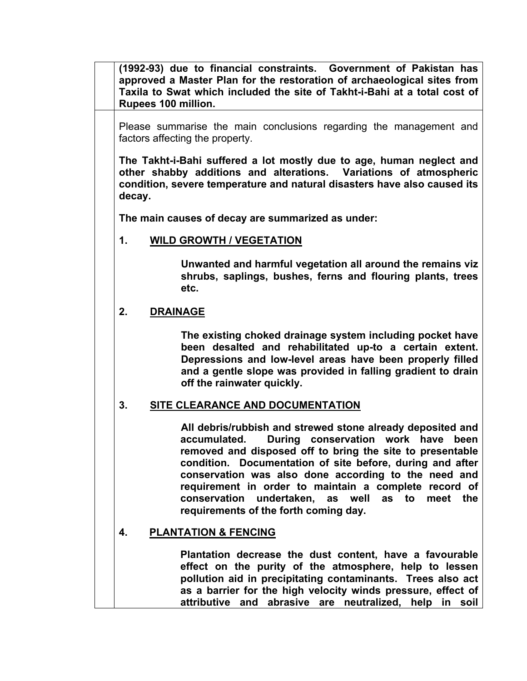**(1992-93) due to financial constraints. Government of Pakistan has approved a Master Plan for the restoration of archaeological sites from Taxila to Swat which included the site of Takht-i-Bahi at a total cost of Rupees 100 million.** 

Please summarise the main conclusions regarding the management and factors affecting the property.

**The Takht-i-Bahi suffered a lot mostly due to age, human neglect and other shabby additions and alterations. Variations of atmospheric condition, severe temperature and natural disasters have also caused its decay.** 

**The main causes of decay are summarized as under:** 

# **1. WILD GROWTH / VEGETATION**

**Unwanted and harmful vegetation all around the remains viz shrubs, saplings, bushes, ferns and flouring plants, trees etc.** 

# **2. DRAINAGE**

**The existing choked drainage system including pocket have been desalted and rehabilitated up-to a certain extent. Depressions and low-level areas have been properly filled and a gentle slope was provided in falling gradient to drain off the rainwater quickly.**

#### **3. SITE CLEARANCE AND DOCUMENTATION**

 **All debris/rubbish and strewed stone already deposited and accumulated. During conservation work have been removed and disposed off to bring the site to presentable condition. Documentation of site before, during and after conservation was also done according to the need and requirement in order to maintain a complete record of conservation undertaken, as well as to meet the requirements of the forth coming day.** 

# **4. PLANTATION & FENCING**

 **Plantation decrease the dust content, have a favourable effect on the purity of the atmosphere, help to lessen pollution aid in precipitating contaminants. Trees also act as a barrier for the high velocity winds pressure, effect of attributive and abrasive are neutralized, help in soil**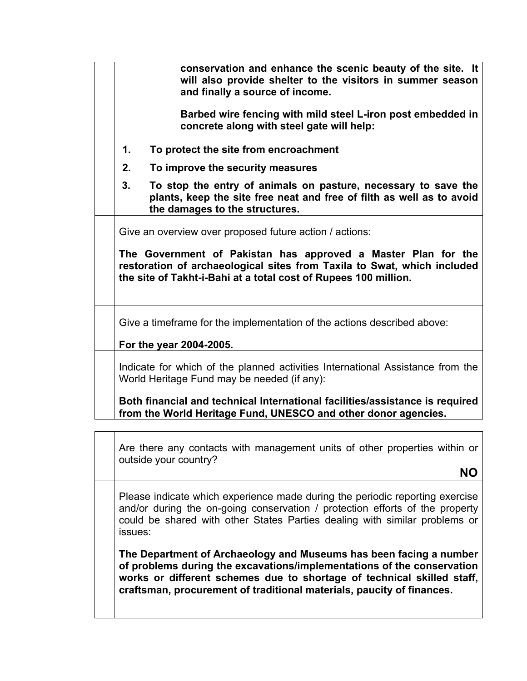| conservation and enhance the scenic beauty of the site. It<br>will also provide shelter to the visitors in summer season<br>and finally a source of income.                                                                                                            |
|------------------------------------------------------------------------------------------------------------------------------------------------------------------------------------------------------------------------------------------------------------------------|
| Barbed wire fencing with mild steel L-iron post embedded in<br>concrete along with steel gate will help:                                                                                                                                                               |
| 1.<br>To protect the site from encroachment                                                                                                                                                                                                                            |
| 2.<br>To improve the security measures                                                                                                                                                                                                                                 |
| To stop the entry of animals on pasture, necessary to save the<br>3.<br>plants, keep the site free neat and free of filth as well as to avoid<br>the damages to the structures.                                                                                        |
| Give an overview over proposed future action / actions:<br>The Government of Pakistan has approved a Master Plan for the<br>restoration of archaeological sites from Taxila to Swat, which included<br>the site of Takht-i-Bahi at a total cost of Rupees 100 million. |
| Give a timeframe for the implementation of the actions described above:<br>For the year 2004-2005.                                                                                                                                                                     |
| Indicate for which of the planned activities International Assistance from the<br>World Heritage Fund may be needed (if any):                                                                                                                                          |
| Both financial and technical International facilities/assistance is required<br>from the World Heritage Fund, UNESCO and other donor agencies.                                                                                                                         |
|                                                                                                                                                                                                                                                                        |
| Are there any contacts with management units of other properties within or<br>outside your country?                                                                                                                                                                    |
| ΝO                                                                                                                                                                                                                                                                     |
|                                                                                                                                                                                                                                                                        |

Please indicate which experience made during the periodic reporting exercise and/or during the on-going conservation / protection efforts of the property could be shared with other States Parties dealing with similar problems or issues:

**The Department of Archaeology and Museums has been facing a number of problems during the excavations/implementations of the conservation works or different schemes due to shortage of technical skilled staff, craftsman, procurement of traditional materials, paucity of finances.**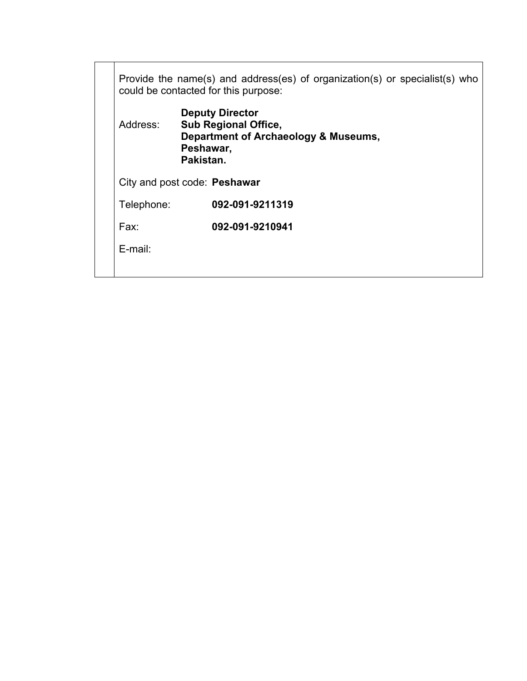| Provide the name(s) and address(es) of organization(s) or specialist(s) who<br>could be contacted for this purpose:                 |  |                 |
|-------------------------------------------------------------------------------------------------------------------------------------|--|-----------------|
| <b>Deputy Director</b><br>Address:<br><b>Sub Regional Office,</b><br>Department of Archaeology & Museums,<br>Peshawar,<br>Pakistan. |  |                 |
| City and post code: Peshawar                                                                                                        |  |                 |
| Telephone:                                                                                                                          |  | 092-091-9211319 |
| Fax:                                                                                                                                |  | 092-091-9210941 |
| $E$ -mail:                                                                                                                          |  |                 |
|                                                                                                                                     |  |                 |